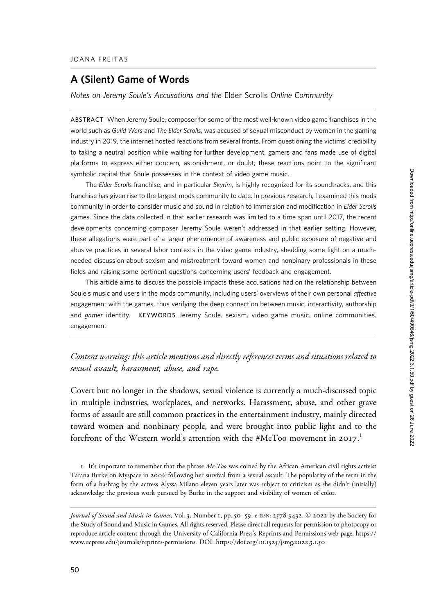## A (Silent) Game of Words

Notes on Jeremy Soule's Accusations and the Elder Scrolls Online Community

ABSTRACT When Jeremy Soule, composer for some of the most well-known video game franchises in the world such as Guild Wars and The Elder Scrolls, was accused of sexual misconduct by women in the gaming industry in 2019, the internet hosted reactions from several fronts. From questioning the victims' credibility to taking a neutral position while waiting for further development, gamers and fans made use of digital platforms to express either concern, astonishment, or doubt; these reactions point to the significant symbolic capital that Soule possesses in the context of video game music.

The Elder Scrolls franchise, and in particular Skyrim, is highly recognized for its soundtracks, and this franchise has given rise to the largest mods community to date. In previous research, I examined this mods community in order to consider music and sound in relation to immersion and modification in Elder Scrolls games. Since the data collected in that earlier research was limited to a time span until 2017, the recent developments concerning composer Jeremy Soule weren't addressed in that earlier setting. However, these allegations were part of a larger phenomenon of awareness and public exposure of negative and abusive practices in several labor contexts in the video game industry, shedding some light on a muchneeded discussion about sexism and mistreatment toward women and nonbinary professionals in these fields and raising some pertinent questions concerning users' feedback and engagement.

This article aims to discuss the possible impacts these accusations had on the relationship between Soule's music and users in the mods community, including users' overviews of their own personal affective engagement with the games, thus verifying the deep connection between music, interactivity, authorship and gamer identity. KEYWORDS Jeremy Soule, sexism, video game music, online communities, engagement

## Content warning: this article mentions and directly references terms and situations related to sexual assault, harassment, abuse, and rape.

Covert but no longer in the shadows, sexual violence is currently a much-discussed topic in multiple industries, workplaces, and networks. Harassment, abuse, and other grave forms of assault are still common practices in the entertainment industry, mainly directed toward women and nonbinary people, and were brought into public light and to the forefront of the Western world's attention with the #MeToo movement in 2017. $^{\rm l}$ 

1. It's important to remember that the phrase  $Me$  Too was coined by the African American civil rights activist Tarana Burke on Myspace in 2006 following her survival from a sexual assault. The popularity of the term in the form of a hashtag by the actress Alyssa Milano eleven years later was subject to criticism as she didn't (initially) acknowledge the previous work pursued by Burke in the support and visibility of women of color.

Journal of Sound and Music in Games, Vol. 3, Number 1, pp. 50–59. e-ISSN: 2578-3432. © 2022 by the Society for the Study of Sound and Music in Games. All rights reserved. Please direct all requests for permission to photocopy or reproduce article content through the University of California Press's Reprints and Permissions web page, [https://](https://www.ucpress.edu/journals/reprints-permissions) [www.ucpress.edu/journals/reprints-permissions](https://www.ucpress.edu/journals/reprints-permissions). [DOI: https://doi.org/](https://doi.org/10.1525/jsmg.2022.3.1.50)10.1525/jsmg.2022.3.1.50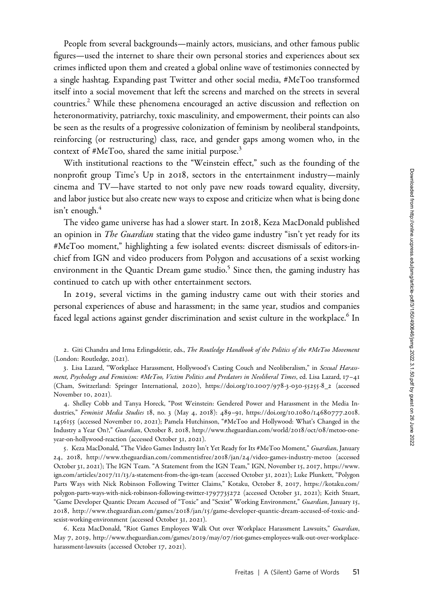People from several backgrounds—mainly actors, musicians, and other famous public figures—used the internet to share their own personal stories and experiences about sex crimes inflicted upon them and created a global online wave of testimonies connected by a single hashtag. Expanding past Twitter and other social media, #MeToo transformed itself into a social movement that left the screens and marched on the streets in several countries.<sup>2</sup> While these phenomena encouraged an active discussion and reflection on heteronormativity, patriarchy, toxic masculinity, and empowerment, their points can also be seen as the results of a progressive colonization of feminism by neoliberal standpoints, reinforcing (or restructuring) class, race, and gender gaps among women who, in the context of #MeToo, shared the same initial purpose.<sup>3</sup>

With institutional reactions to the "Weinstein effect," such as the founding of the nonprofit group Time's Up in 2018, sectors in the entertainment industry—mainly cinema and TV—have started to not only pave new roads toward equality, diversity, and labor justice but also create new ways to expose and criticize when what is being done isn't enough. $4$ 

The video game universe has had a slower start. In 2018, Keza MacDonald published an opinion in *The Guardian* stating that the video game industry "isn't yet ready for its #MeToo moment," highlighting a few isolated events: discreet dismissals of editors-inchief from IGN and video producers from Polygon and accusations of a sexist working environment in the Quantic Dream game studio.<sup>5</sup> Since then, the gaming industry has continued to catch up with other entertainment sectors.

In 2019, several victims in the gaming industry came out with their stories and personal experiences of abuse and harassment; in the same year, studios and companies faced legal actions against gender discrimination and sexist culture in the workplace.<sup>6</sup> In

2. Giti Chandra and Irma Erlingsdottir, eds., The Routledge Handbook of the Politics of the #MeToo Movement (London: Routledge, 2021).

3. Lisa Lazard, "Workplace Harassment, Hollywood's Casting Couch and Neoliberalism," in Sexual Harassment, Psychology and Feminism: #MeToo, Victim Politics and Predators in Neoliberal Times, ed. Lisa Lazard, 17–41 (Cham, Switzerland: Springer International, 2020), [https://doi.org/](https://doi.org/10.1007/978-3-030-55255-8_2)10.1007/978-3-030-55255-8\_2 (accessed November 10, 2021).

4. Shelley Cobb and Tanya Horeck, "Post Weinstein: Gendered Power and Harassment in the Media Industries," Feminist Media Studies 18, no. 3 (May 4, 2018): 489-91, [https://doi.org/](https://doi.org/10.1080/14680777.2018.1456155)10.1080/14680777.2018. [1456155](https://doi.org/10.1080/14680777.2018.1456155) (accessed November 10, 2021); Pamela Hutchinson, "#MeToo and Hollywood: What's Changed in the Industry a Year On?," Guardian, October 8, 2018, [http://www.theguardian.com/world/](http://www.theguardian.com/world/2018/oct/08/metoo-one-year-on-hollywood-reaction)2018/oct/08/metoo-one[year-on-hollywood-reaction](http://www.theguardian.com/world/2018/oct/08/metoo-one-year-on-hollywood-reaction) (accessed October 31, 2021).

5. Keza MacDonald, "The Video Games Industry Isn't Yet Ready for Its #MeToo Moment," Guardian, January 24, 2018, [http://www.theguardian.com/commentisfree/](http://www.theguardian.com/commentisfree/2018/jan/24/video-games-industry-metoo)2018/jan/24/video-games-industry-metoo (accessed October 31, 2021); The IGN Team. "A Statement from the IGN Team," IGN, November 15, 2017, [https://www.](https://www.ign.com/articles/2017/11/13/a-statement-from-the-ign-team) ign.com/articles/2017/11/13[/a-statement-from-the-ign-team](https://www.ign.com/articles/2017/11/13/a-statement-from-the-ign-team) (accessed October 31, 2021); Luke Plunkett, "Polygon Parts Ways with Nick Robinson Following Twitter Claims," Kotaku, October 8, 2017, [https://kotaku.com/](https://kotaku.com/polygon-parts-ways-with-nick-robinson-following-twitter-1797735272) [polygon-parts-ways-with-nick-robinson-following-twitter-](https://kotaku.com/polygon-parts-ways-with-nick-robinson-following-twitter-1797735272)1797735272 (accessed October 31, 2021); Keith Stuart, "Game Developer Quantic Dream Accused of "Toxic" and "Sexist" Working Environment," Guardian, January 15, 2018, http://www.theguardian.com/games/2018/jan/15[/game-developer-quantic-dream-accused-of-toxic-and](http://www.theguardian.com/games/2018/jan/15/game-developer-quantic-dream-accused-of-toxic-and-sexist-working-environment)[sexist-working-environment](http://www.theguardian.com/games/2018/jan/15/game-developer-quantic-dream-accused-of-toxic-and-sexist-working-environment) (accessed October 31, 2021).

6. Keza MacDonald, "Riot Games Employees Walk Out over Workplace Harassment Lawsuits," Guardian, May 7, 2019, http://www.theguardian.com/games/2019/may/07[/riot-games-employees-walk-out-over-workplace](http://www.theguardian.com/games/2019/may/07/riot-games-employees-walk-out-over-workplace-harassment-lawsuits)[harassment-lawsuits](http://www.theguardian.com/games/2019/may/07/riot-games-employees-walk-out-over-workplace-harassment-lawsuits) (accessed October 17, 2021).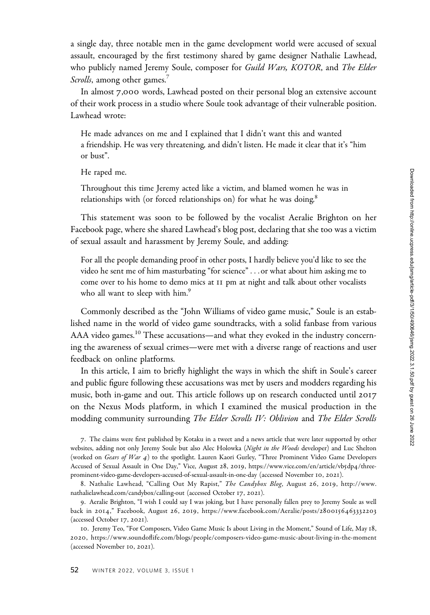a single day, three notable men in the game development world were accused of sexual assault, encouraged by the first testimony shared by game designer Nathalie Lawhead, who publicly named Jeremy Soule, composer for *Guild Wars, KOTOR*, and *The Elder* Scrolls, among other games.<sup>7</sup>

In almost 7,000 words, Lawhead posted on their personal blog an extensive account of their work process in a studio where Soule took advantage of their vulnerable position. Lawhead wrote:

He made advances on me and I explained that I didn't want this and wanted a friendship. He was very threatening, and didn't listen. He made it clear that it's "him or bust".

He raped me.

Throughout this time Jeremy acted like a victim, and blamed women he was in relationships with (or forced relationships on) for what he was doing.<sup>8</sup>

This statement was soon to be followed by the vocalist Aeralie Brighton on her Facebook page, where she shared Lawhead's blog post, declaring that she too was a victim of sexual assault and harassment by Jeremy Soule, and adding:

For all the people demanding proof in other posts, I hardly believe you'd like to see the video he sent me of him masturbating "for science"...or what about him asking me to come over to his home to demo mics at 11 pm at night and talk about other vocalists who all want to sleep with him.<sup>9</sup>

Commonly described as the "John Williams of video game music," Soule is an established name in the world of video game soundtracks, with a solid fanbase from various AAA video games.<sup>10</sup> These accusations—and what they evoked in the industry concerning the awareness of sexual crimes—were met with a diverse range of reactions and user feedback on online platforms.

In this article, I aim to briefly highlight the ways in which the shift in Soule's career and public figure following these accusations was met by users and modders regarding his music, both in-game and out. This article follows up on research conducted until 2017 on the Nexus Mods platform, in which I examined the musical production in the modding community surrounding The Elder Scrolls IV: Oblivion and The Elder Scrolls

7. The claims were first published by Kotaku in a tweet and a news article that were later supported by other websites, adding not only Jeremy Soule but also Alec Holowka (Night in the Woods developer) and Luc Shelton (worked on Gears of War 4) to the spotlight. Lauren Kaori Gurley, "Three Prominent Video Game Developers Accused of Sexual Assault in One Day," Vice, August 28, 2019, [https://www.vice.com/en/article/vb](https://www.vice.com/en/article/vb5dp4/three-prominent-video-game-developers-accused-of-sexual-assault-in-one-day)5dp4/three[prominent-video-game-developers-accused-of-sexual-assault-in-one-day](https://www.vice.com/en/article/vb5dp4/three-prominent-video-game-developers-accused-of-sexual-assault-in-one-day) (accessed November 10, 2021).

8. Nathalie Lawhead, "Calling Out My Rapist," The Candybox Blog, August 26, 2019, [http://www.](http://www.nathalielawhead.com/candybox/calling-out) [nathalielawhead.com/candybox/calling-out](http://www.nathalielawhead.com/candybox/calling-out) (accessed October 17, 2021).

9. Aeralie Brighton, "I wish I could say I was joking, but I have personally fallen prey to Jeremy Soule as well back in 2014," Facebook, August 26, 2019, [https://www.facebook.com/Aeralie/posts/](https://www.facebook.com/Aeralie/posts/2800156463332203)2800156463332203 (accessed October 17, 2021).

10. Jeremy Teo, "For Composers, Video Game Music Is about Living in the Moment," Sound of Life, May 18, 2020,<https://www.soundoflife.com/blogs/people/composers-video-game-music-about-living-in-the-moment> (accessed November 10, 2021).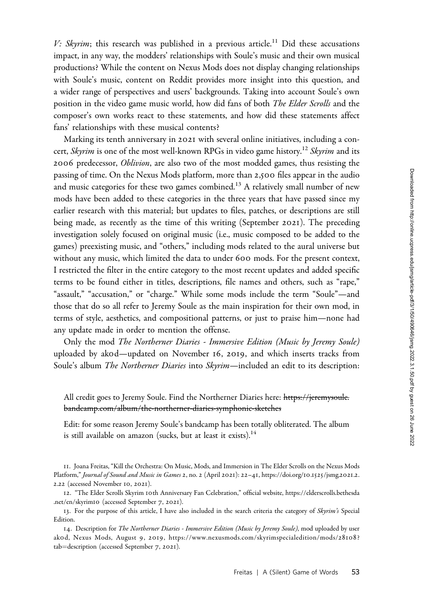V: Skyrim; this research was published in a previous article.<sup>11</sup> Did these accusations impact, in any way, the modders' relationships with Soule's music and their own musical productions? While the content on Nexus Mods does not display changing relationships with Soule's music, content on Reddit provides more insight into this question, and a wider range of perspectives and users' backgrounds. Taking into account Soule's own position in the video game music world, how did fans of both *The Elder Scrolls* and the composer's own works react to these statements, and how did these statements affect fans' relationships with these musical contents?

Marking its tenth anniversary in 2021 with several online initiatives, including a concert, Skyrim is one of the most well-known RPGs in video game history.<sup>12</sup> Skyrim and its 2006 predecessor, Oblivion, are also two of the most modded games, thus resisting the passing of time. On the Nexus Mods platform, more than 2,500 files appear in the audio and music categories for these two games combined.<sup>13</sup> A relatively small number of new mods have been added to these categories in the three years that have passed since my earlier research with this material; but updates to files, patches, or descriptions are still being made, as recently as the time of this writing (September 2021). The preceding investigation solely focused on original music (i.e., music composed to be added to the games) preexisting music, and "others," including mods related to the aural universe but without any music, which limited the data to under 600 mods. For the present context, I restricted the filter in the entire category to the most recent updates and added specific terms to be found either in titles, descriptions, file names and others, such as "rape," "assault," "accusation," or "charge." While some mods include the term "Soule"—and those that do so all refer to Jeremy Soule as the main inspiration for their own mod, in terms of style, aesthetics, and compositional patterns, or just to praise him—none had any update made in order to mention the offense.

Only the mod The Northerner Diaries - Immersive Edition (Music by Jeremy Soule) uploaded by ak0d—updated on November 16, 2019, and which inserts tracks from Soule's album The Northerner Diaries into Skyrim-included an edit to its description:

## All credit goes to Jeremy Soule. Find the Northerner Diaries here: [https://jeremysoule.](https://jeremysoule.bandcamp.com/album/the-northerner-diaries-symphonic-sketches) [bandcamp.com/album/the-northerner-diaries-symphonic-sketches](https://jeremysoule.bandcamp.com/album/the-northerner-diaries-symphonic-sketches)

Edit: for some reason Jeremy Soule's bandcamp has been totally obliterated. The album is still available on amazon (sucks, but at least it exists). $14$ 

11. Joana Freitas, "Kill the Orchestra: On Music, Mods, and Immersion in The Elder Scrolls on the Nexus Mods Platform," Journal of Sound and Music in Games 2, no. 2 (April 2021): 22–41, [https://doi.org/](https://doi.org/10.1525/jsmg.2021.2.2.22)10.1525/jsmg.2021.2. 2.[22](https://doi.org/10.1525/jsmg.2021.2.2.22) (accessed November 10, 2021).

12. "The Elder Scrolls Skyrim 10th Anniversary Fan Celebration," official website, [https://elderscrolls.bethesda](https://elderscrolls.bethesda.net/en/skyrim10) [.net/en/skyrim](https://elderscrolls.bethesda.net/en/skyrim10)10 (accessed September 7, 2021).

13. For the purpose of this article, I have also included in the search criteria the category of Skyrim's Special Edition.

14. Description for The Northerner Diaries - Immersive Edition (Music by Jeremy Soule), mod uploaded by user akod, Nexus Mods, August 9, 2019, [https://www.nexusmods.com/skyrimspecialedition/mods/](https://www.nexusmods.com/skyrimspecialedition/mods/28108?tab=description)28108? [tab](https://www.nexusmods.com/skyrimspecialedition/mods/28108?tab=description)=[description](https://www.nexusmods.com/skyrimspecialedition/mods/28108?tab=description) (accessed September 7, 2021).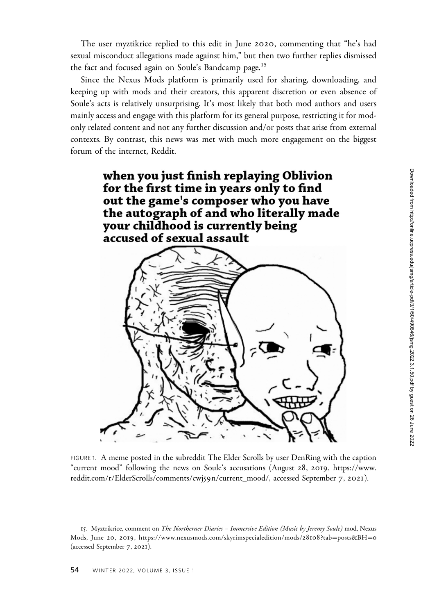The user myztikrice replied to this edit in June 2020, commenting that "he's had sexual misconduct allegations made against him," but then two further replies dismissed the fact and focused again on Soule's Bandcamp page.<sup>15</sup>

Since the Nexus Mods platform is primarily used for sharing, downloading, and keeping up with mods and their creators, this apparent discretion or even absence of Soule's acts is relatively unsurprising. It's most likely that both mod authors and users mainly access and engage with this platform for its general purpose, restricting it for modonly related content and not any further discussion and/or posts that arise from external contexts. By contrast, this news was met with much more engagement on the biggest forum of the internet, Reddit.



FIGURE 1. A meme posted in the subreddit The Elder Scrolls by user DenRing with the caption "current mood" following the news on Soule's accusations (August 28, 2019, [https://www.](https://www.reddit.com/r/ElderScrolls/comments/cwj59n/current_mood/) [reddit.com/r/ElderScrolls/comments/cwj](https://www.reddit.com/r/ElderScrolls/comments/cwj59n/current_mood/)59n/current\_mood/, accessed September 7, 2021).

<sup>15.</sup> Myztrikrice, comment on The Northerner Diaries - Immersive Edition (Music by Jeremy Soule) mod, Nexus Mods, June 20, 2019, [https://www.nexusmods.com/skyrimspecialedition/mods/](https://www.nexusmods.com/skyrimspecialedition/mods/28108?tab=posts&BH=0)28108?tab=[posts&BH](https://www.nexusmods.com/skyrimspecialedition/mods/28108?tab=posts&BH=0)=[0](https://www.nexusmods.com/skyrimspecialedition/mods/28108?tab=posts&BH=0) (accessed September 7, 2021).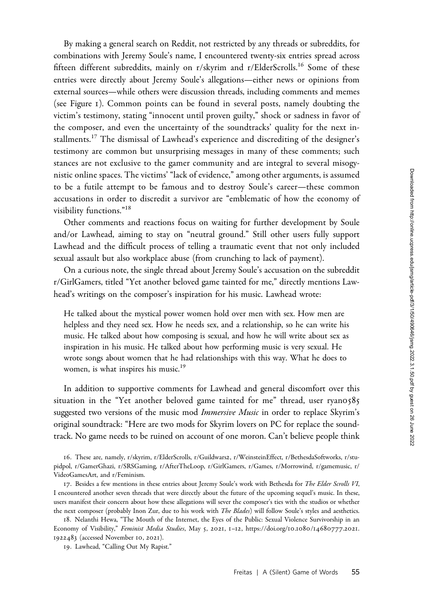By making a general search on Reddit, not restricted by any threads or subreddits, for combinations with Jeremy Soule's name, I encountered twenty-six entries spread across fifteen different subreddits, mainly on r/skyrim and r/ElderScrolls.<sup>16</sup> Some of these entries were directly about Jeremy Soule's allegations—either news or opinions from external sources—while others were discussion threads, including comments and memes (see Figure 1). Common points can be found in several posts, namely doubting the victim's testimony, stating "innocent until proven guilty," shock or sadness in favor of the composer, and even the uncertainty of the soundtracks' quality for the next installments.<sup>17</sup> The dismissal of Lawhead's experience and discrediting of the designer's testimony are common but unsurprising messages in many of these comments; such stances are not exclusive to the gamer community and are integral to several misogynistic online spaces. The victims' "lack of evidence," among other arguments, is assumed to be a futile attempt to be famous and to destroy Soule's career—these common accusations in order to discredit a survivor are "emblematic of how the economy of visibility functions."<sup>18</sup>

Other comments and reactions focus on waiting for further development by Soule and/or Lawhead, aiming to stay on "neutral ground." Still other users fully support Lawhead and the difficult process of telling a traumatic event that not only included sexual assault but also workplace abuse (from crunching to lack of payment).

On a curious note, the single thread about Jeremy Soule's accusation on the subreddit r/GirlGamers, titled "Yet another beloved game tainted for me," directly mentions Lawhead's writings on the composer's inspiration for his music. Lawhead wrote:

He talked about the mystical power women hold over men with sex. How men are helpless and they need sex. How he needs sex, and a relationship, so he can write his music. He talked about how composing is sexual, and how he will write about sex as inspiration in his music. He talked about how performing music is very sexual. He wrote songs about women that he had relationships with this way. What he does to women, is what inspires his music.<sup>19</sup>

In addition to supportive comments for Lawhead and general discomfort over this situation in the "Yet another beloved game tainted for me" thread, user ryan0585 suggested two versions of the music mod *Immersive Music* in order to replace Skyrim's original soundtrack: "Here are two mods for Skyrim lovers on PC for replace the soundtrack. No game needs to be ruined on account of one moron. Can't believe people think

<sup>16</sup>. These are, namely, r/skyrim, r/ElderScrolls, r/Guildwars2, r/WeinsteinEffect, r/BethesdaSoftworks, r/stupidpol, r/GamerGhazi, r/SRSGaming, r/AfterTheLoop, r/GirlGamers, r/Games, r/Morrowind, r/gamemusic, r/ VideoGamesArt, and r/Feminism.

<sup>17.</sup> Besides a few mentions in these entries about Jeremy Soule's work with Bethesda for The Elder Scrolls VI, I encountered another seven threads that were directly about the future of the upcoming sequel's music. In these, users manifest their concern about how these allegations will sever the composer's ties with the studios or whether the next composer (probably Inon Zur, due to his work with *The Blades*) will follow Soule's styles and aesthetics.

<sup>18</sup>. Nelanthi Hewa, "The Mouth of the Internet, the Eyes of the Public: Sexual Violence Survivorship in an Economy of Visibility," Feminist Media Studies, May 5, 2021, 1-12, [https://doi.org/](https://doi.org/10.1080/14680777.2021.1922483)10.1080/14680777.2021. [1922483](https://doi.org/10.1080/14680777.2021.1922483) (accessed November 10, 2021).

<sup>19</sup>. Lawhead, "Calling Out My Rapist."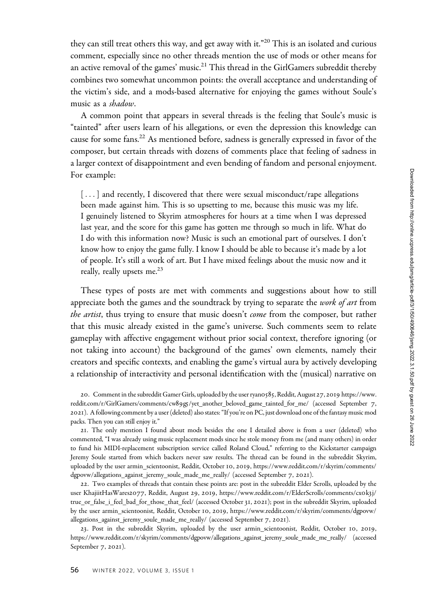they can still treat others this way, and get away with it."<sup>20</sup> This is an isolated and curious comment, especially since no other threads mention the use of mods or other means for an active removal of the games' music. $^{21}$  This thread in the GirlGamers subreddit thereby combines two somewhat uncommon points: the overall acceptance and understanding of the victim's side, and a mods-based alternative for enjoying the games without Soule's music as a *shadow*.

A common point that appears in several threads is the feeling that Soule's music is "tainted" after users learn of his allegations, or even the depression this knowledge can cause for some fans.<sup>22</sup> As mentioned before, sadness is generally expressed in favor of the composer, but certain threads with dozens of comments place that feeling of sadness in a larger context of disappointment and even bending of fandom and personal enjoyment. For example:

[...] and recently, I discovered that there were sexual misconduct/rape allegations been made against him. This is so upsetting to me, because this music was my life. I genuinely listened to Skyrim atmospheres for hours at a time when I was depressed last year, and the score for this game has gotten me through so much in life. What do I do with this information now? Music is such an emotional part of ourselves. I don't know how to enjoy the game fully. I know I should be able to because it's made by a lot of people. It's still a work of art. But I have mixed feelings about the music now and it really, really upsets me.<sup>23</sup>

These types of posts are met with comments and suggestions about how to still appreciate both the games and the soundtrack by trying to separate the work of art from the artist, thus trying to ensure that music doesn't come from the composer, but rather that this music already existed in the game's universe. Such comments seem to relate gameplay with affective engagement without prior social context, therefore ignoring (or not taking into account) the background of the games' own elements, namely their creators and specific contexts, and enabling the game's virtual aura by actively developing a relationship of interactivity and personal identification with the (musical) narrative on

20. Comment in the subreddit Gamer Girls, uploaded by the user ryan0585, Reddit, August 27, 2019 [https://www.](https://www.reddit.com/r/GirlGamers/comments/cw89g5/yet_another_beloved_game_tainted_for_me/) reddit.com/r/GirlGamers/comments/cw89g5[/yet\\_another\\_beloved\\_game\\_tainted\\_for\\_me/](https://www.reddit.com/r/GirlGamers/comments/cw89g5/yet_another_beloved_game_tainted_for_me/) (accessed September 7, 2021). A following comment by a user (deleted) also states: "If you're on PC, just download one of the fantasy music mod packs. Then you can still enjoy it."

21. The only mention I found about mods besides the one I detailed above is from a user (deleted) who commented, "I was already using music replacement mods since he stole money from me (and many others) in order to fund his MIDI-replacement subscription service called Roland Cloud," referring to the Kickstarter campaign Jeremy Soule started from which backers never saw results. The thread can be found in the subreddit Skyrim, uploaded by the user armin\_scientoonist, Reddit, October 10, 2019, [https://www.reddit.com/r/skyrim/comments/](https://www.reddit.com/r/skyrim/comments/dgpovw/allegations_against_jeremy_soule_made_me_really/) [dgpovw/allegations\\_against\\_jeremy\\_soule\\_made\\_me\\_really/](https://www.reddit.com/r/skyrim/comments/dgpovw/allegations_against_jeremy_soule_made_me_really/) (accessed September 7, 2021).

22. Two examples of threads that contain these points are: post in the subreddit Elder Scrolls, uploaded by the user KhajiitHasWares2077, Reddit, August 29, 2019, [https://www.reddit.com/r/ElderScrolls/comments/cx](https://www.reddit.com/r/ElderScrolls/comments/cx0k3j/true_or_false_i_feel_bad_for_those_that_feel/)0k3j/ [true\\_or\\_false\\_i\\_feel\\_bad\\_for\\_those\\_that\\_feel/](https://www.reddit.com/r/ElderScrolls/comments/cx0k3j/true_or_false_i_feel_bad_for_those_that_feel/) (accessed October 31, 2021); post in the subreddit Skyrim, uploaded by the user armin\_scientoonist, Reddit, October 10, 2019, [https://www.reddit.com/r/skyrim/comments/dgpovw/](https://www.reddit.com/r/skyrim/comments/dgpovw/allegations_against_jeremy_soule_made_me_really/) [allegations\\_against\\_jeremy\\_soule\\_made\\_me\\_really/](https://www.reddit.com/r/skyrim/comments/dgpovw/allegations_against_jeremy_soule_made_me_really/) (accessed September 7, 2021).

23. Post in the subreddit Skyrim, uploaded by the user armin\_scientoonist, Reddit, October 10, 2019, [https://www.reddit.com/r/skyrim/comments/dgpovw/allegations\\_against\\_jeremy\\_soule\\_made\\_me\\_really/](https://www.reddit.com/r/skyrim/comments/dgpovw/allegations_against_jeremy_soule_made_me_really/) (accessed September 7, 2021).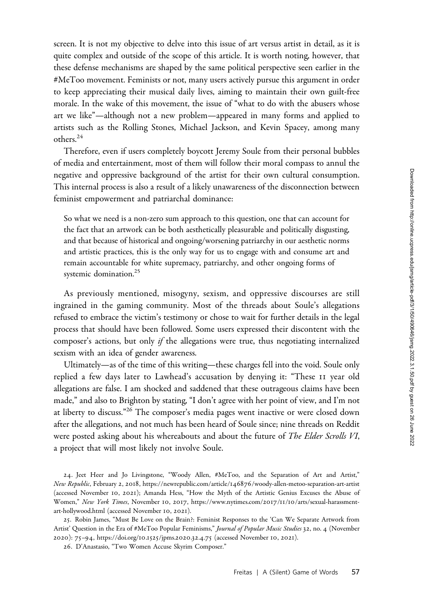screen. It is not my objective to delve into this issue of art versus artist in detail, as it is quite complex and outside of the scope of this article. It is worth noting, however, that these defense mechanisms are shaped by the same political perspective seen earlier in the #MeToo movement. Feminists or not, many users actively pursue this argument in order to keep appreciating their musical daily lives, aiming to maintain their own guilt-free morale. In the wake of this movement, the issue of "what to do with the abusers whose art we like"—although not a new problem—appeared in many forms and applied to artists such as the Rolling Stones, Michael Jackson, and Kevin Spacey, among many others.<sup>24</sup>

Therefore, even if users completely boycott Jeremy Soule from their personal bubbles of media and entertainment, most of them will follow their moral compass to annul the negative and oppressive background of the artist for their own cultural consumption. This internal process is also a result of a likely unawareness of the disconnection between feminist empowerment and patriarchal dominance:

So what we need is a non-zero sum approach to this question, one that can account for the fact that an artwork can be both aesthetically pleasurable and politically disgusting, and that because of historical and ongoing/worsening patriarchy in our aesthetic norms and artistic practices, this is the only way for us to engage with and consume art and remain accountable for white supremacy, patriarchy, and other ongoing forms of systemic domination.<sup>25</sup>

As previously mentioned, misogyny, sexism, and oppressive discourses are still ingrained in the gaming community. Most of the threads about Soule's allegations refused to embrace the victim's testimony or chose to wait for further details in the legal process that should have been followed. Some users expressed their discontent with the composer's actions, but only if the allegations were true, thus negotiating internalized sexism with an idea of gender awareness.

Ultimately—as of the time of this writing—these charges fell into the void. Soule only replied a few days later to Lawhead's accusation by denying it: "These II year old allegations are false. I am shocked and saddened that these outrageous claims have been made," and also to Brighton by stating, "I don't agree with her point of view, and I'm not at liberty to discuss."<sup>26</sup> The composer's media pages went inactive or were closed down after the allegations, and not much has been heard of Soule since; nine threads on Reddit were posted asking about his whereabouts and about the future of The Elder Scrolls VI, a project that will most likely not involve Soule.

24. Jeet Heer and Jo Livingstone, "Woody Allen, #MeToo, and the Separation of Art and Artist," New Republic, February 2, 2018, https://newrepublic.com/article/146876[/woody-allen-metoo-separation-art-artist](https://newrepublic.com/article/146876/woody-allen-metoo-separation-art-artist) (accessed November 10, 2021); Amanda Hess, "How the Myth of the Artistic Genius Excuses the Abuse of Women," New York Times, November 10, 2017, [https://www.nytimes.com/](https://www.nytimes.com/2017/11/10/arts/sexual-harassment-art-hollywood.html)2017/11/10/arts/sexual-harassment[art-hollywood.html](https://www.nytimes.com/2017/11/10/arts/sexual-harassment-art-hollywood.html) (accessed November 10, 2021).

25. Robin James, "Must Be Love on the Brain?: Feminist Responses to the 'Can We Separate Artwork from Artist' Question in the Era of #MeToo Popular Feminisms," Journal of Popular Music Studies 32, no. 4 (November 2020): 75–94, [https://doi.org/](https://doi.org/10.1525/jpms.2020.32.4.75)10.1525/jpms.2020.32.4.75 (accessed November 10, 2021).

26. D'Anastasio, "Two Women Accuse Skyrim Composer."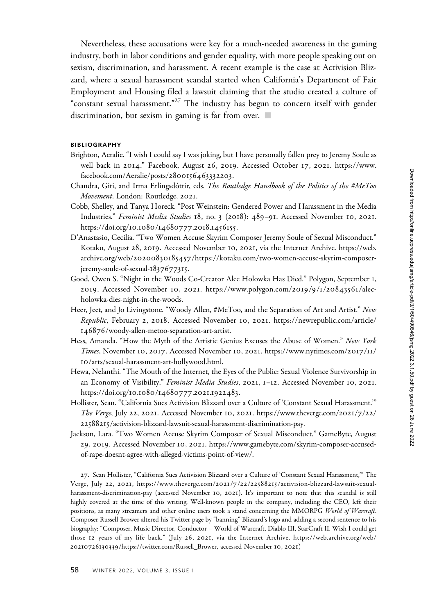Nevertheless, these accusations were key for a much-needed awareness in the gaming industry, both in labor conditions and gender equality, with more people speaking out on sexism, discrimination, and harassment. A recent example is the case at Activision Blizzard, where a sexual harassment scandal started when California's Department of Fair Employment and Housing filed a lawsuit claiming that the studio created a culture of "constant sexual harassment."<sup>27</sup> The industry has begun to concern itself with gender discrimination, but sexism in gaming is far from over.  $\blacksquare$ 

## BIBLIOGRAPHY

- Brighton, Aeralie. "I wish I could say I was joking, but I have personally fallen prey to Jeremy Soule as well back in 2014." Facebook, August 26, 2019. Accessed October 17, 2021. [https://www.](https://www.facebook.com/Aeralie/posts/2800156463332203) [facebook.com/Aeralie/posts/](https://www.facebook.com/Aeralie/posts/2800156463332203)2800156463332203.
- Chandra, Giti, and Irma Erlingsdottir, eds. The Routledge Handbook of the Politics of the #MeToo Movement. London: Routledge, 2021.
- Cobb, Shelley, and Tanya Horeck. "Post Weinstein: Gendered Power and Harassment in the Media Industries." Feminist Media Studies 18, no. 3 (2018): 489–91. Accessed November 10, 2021. [https://doi.org/](https://doi.org/10.1080/14680777.2018.1456155)10.1080/14680777.2018.1456155.
- D'Anastasio, Cecilia. "Two Women Accuse Skyrim Composer Jeremy Soule of Sexual Misconduct." Kotaku, August 28, 2019. Accessed November 10, 2021, via the Internet Archive. [https://web.](https://web.archive.org/web/20200830185457/https://kotaku.com/two-women-accuse-skyrim-composer-jeremy-soule-of-sexual-1837677315) archive.org/web/20200830185457[/https://kotaku.com/two-women-accuse-skyrim-composer](https://web.archive.org/web/20200830185457/https://kotaku.com/two-women-accuse-skyrim-composer-jeremy-soule-of-sexual-1837677315)[jeremy-soule-of-sexual-](https://web.archive.org/web/20200830185457/https://kotaku.com/two-women-accuse-skyrim-composer-jeremy-soule-of-sexual-1837677315)1837677315.
- Good, Owen S. "Night in the Woods Co-Creator Alec Holowka Has Died." Polygon, September 1, 2019. Accessed November 10, 2021. [https://www.polygon.com/](https://www.polygon.com/2019/9/1/20843561/alec-holowka-dies-night-in-the-woods)2019/9/1/20843561/alec[holowka-dies-night-in-the-woods.](https://www.polygon.com/2019/9/1/20843561/alec-holowka-dies-night-in-the-woods)
- Heer, Jeet, and Jo Livingstone. "Woody Allen, #MeToo, and the Separation of Art and Artist." New Republic, February 2, 2018. Accessed November 10, 2021. [https://newrepublic.com/article/](https://newrepublic.com/article/146876/woody-allen-metoo-separation-art-artist) 146876[/woody-allen-metoo-separation-art-artist](https://newrepublic.com/article/146876/woody-allen-metoo-separation-art-artist).
- Hess, Amanda. "How the Myth of the Artistic Genius Excuses the Abuse of Women." New York Times, November 10, 2017. Accessed November 10, 2021. [https://www.nytimes.com/](https://www.nytimes.com/2017/11/10/arts/sexual-harassment-art-hollywood.html)2017/11/ 10[/arts/sexual-harassment-art-hollywood.html.](https://www.nytimes.com/2017/11/10/arts/sexual-harassment-art-hollywood.html)
- Hewa, Nelanthi. "The Mouth of the Internet, the Eyes of the Public: Sexual Violence Survivorship in an Economy of Visibility." Feminist Media Studies, 2021, 1–12. Accessed November 10, 2021. [https://doi.org/](https://doi.org/10.1080/14680777.2021.1922483)10.1080/14680777.2021.1922483.
- Hollister, Sean. "California Sues Activision Blizzard over a Culture of 'Constant Sexual Harassment.'" The Verge, July 22, 2021. Accessed November 10, 2021. [https://www.theverge.com/](https://www.theverge.com/2021/7/22/22588215/activision-blizzard-lawsuit-sexual-harassment-discrimination-pay)2021/7/22/ 22588215[/activision-blizzard-lawsuit-sexual-harassment-discrimination-pay.](https://www.theverge.com/2021/7/22/22588215/activision-blizzard-lawsuit-sexual-harassment-discrimination-pay)
- Jackson, Lara. "Two Women Accuse Skyrim Composer of Sexual Misconduct." GameByte, August 29, 2019. Accessed November 10, 2021. [https://www.gamebyte.com/skyrim-composer-accused](https://www.gamebyte.com/skyrim-composer-accused-of-rape-doesnt-agree-with-alleged-victims-point-of-view/)[of-rape-doesnt-agree-with-alleged-victims-point-of-view/.](https://www.gamebyte.com/skyrim-composer-accused-of-rape-doesnt-agree-with-alleged-victims-point-of-view/)

27. Sean Hollister, "California Sues Activision Blizzard over a Culture of 'Constant Sexual Harassment,'" The Verge, July 2 2, 2021, https://www.theverge.com/2021/7/22/22588215[/activision-blizzard-lawsuit-sexual](https://www.theverge.com/2021/7/22/22588215/activision-blizzard-lawsuit-sexual-harassment-discrimination-pay)[harassment-discrimination-pay](https://www.theverge.com/2021/7/22/22588215/activision-blizzard-lawsuit-sexual-harassment-discrimination-pay) (accessed November 10, 2021). It's important to note that this scandal is still highly covered at the time of this writing. Well-known people in the company, including the CEO, left their positions, as many streamers and other online users took a stand concerning the MMORPG World of Warcraft. Composer Russell Brower altered his Twitter page by "banning" Blizzard's logo and adding a second sentence to his biography: "Composer, Music Director, Conductor – World of Warcraft, Diablo III, StarCraft II. Wish I could get those 12 years of my life back." (July 26, 2021, via the Internet Archive, [https://web.archive.org/web/](https://web.archive.org/web/20210726130339/https://twitter.com/Russell_Brower) 20210726130339[/https://twitter.com/Russell\\_Brower,](https://web.archive.org/web/20210726130339/https://twitter.com/Russell_Brower) accessed November 10, 2021)